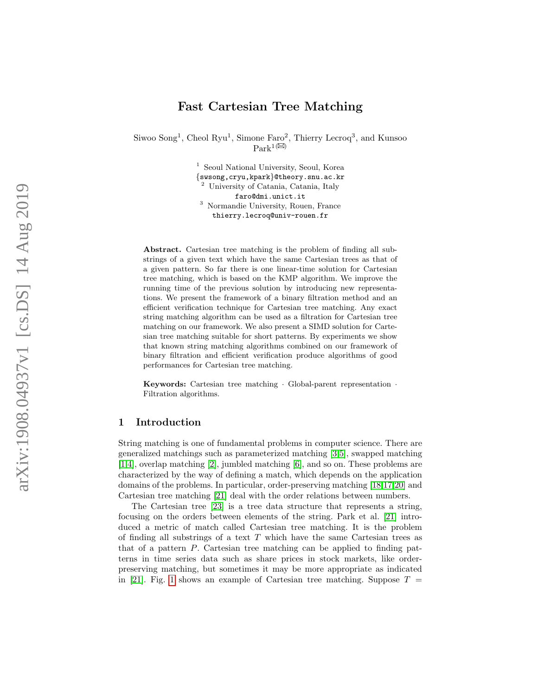# Fast Cartesian Tree Matching

Siwoo Song<sup>1</sup>, Cheol Ryu<sup>1</sup>, Simone Faro<sup>2</sup>, Thierry Lecroq<sup>3</sup>, and Kunsoo  $\text{Park}^{1(\boxtimes)}$ 

> <sup>1</sup> Seoul National University, Seoul, Korea<br>{swsong,cryu,kpark}@theory.snu.ac.kr University of Catania, Catania, Italy faro@dmi.unict.it <sup>3</sup> Normandie University, Rouen, France thierry.lecroq@univ-rouen.fr

Abstract. Cartesian tree matching is the problem of finding all substrings of a given text which have the same Cartesian trees as that of a given pattern. So far there is one linear-time solution for Cartesian tree matching, which is based on the KMP algorithm. We improve the running time of the previous solution by introducing new representations. We present the framework of a binary filtration method and an efficient verification technique for Cartesian tree matching. Any exact string matching algorithm can be used as a filtration for Cartesian tree matching on our framework. We also present a SIMD solution for Cartesian tree matching suitable for short patterns. By experiments we show that known string matching algorithms combined on our framework of binary filtration and efficient verification produce algorithms of good performances for Cartesian tree matching.

Keywords: Cartesian tree matching · Global-parent representation · Filtration algorithms.

## 1 Introduction

String matching is one of fundamental problems in computer science. There are generalized matchings such as parameterized matching [\[3,](#page-12-0)[5\]](#page-12-1), swapped matching [\[1,](#page-12-2)[4\]](#page-12-3), overlap matching [\[2\]](#page-12-4), jumbled matching [\[6\]](#page-12-5), and so on. These problems are characterized by the way of defining a match, which depends on the application domains of the problems. In particular, order-preserving matching [\[18,](#page-13-0)[17](#page-13-1)[,20\]](#page-13-2) and Cartesian tree matching [\[21\]](#page-13-3) deal with the order relations between numbers.

The Cartesian tree [\[23\]](#page-13-4) is a tree data structure that represents a string, focusing on the orders between elements of the string. Park et al. [\[21\]](#page-13-3) introduced a metric of match called Cartesian tree matching. It is the problem of finding all substrings of a text T which have the same Cartesian trees as that of a pattern P. Cartesian tree matching can be applied to finding patterns in time series data such as share prices in stock markets, like orderpreserving matching, but sometimes it may be more appropriate as indicated in [\[21\]](#page-13-3). Fig. [1](#page-1-0) shows an example of Cartesian tree matching. Suppose  $T =$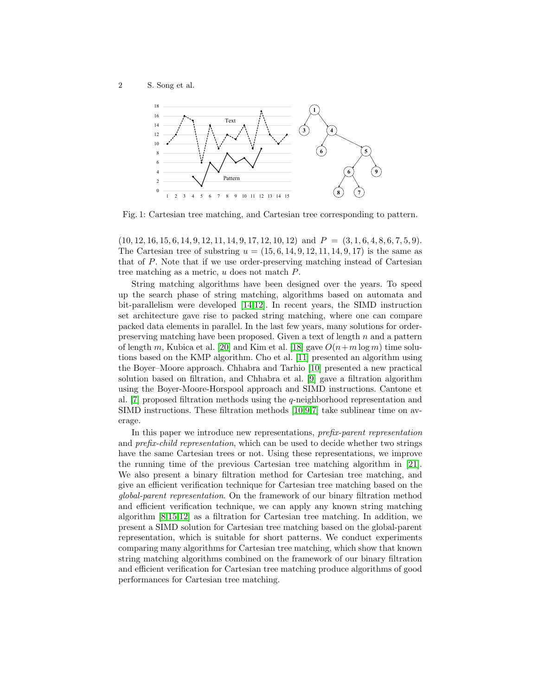<span id="page-1-0"></span>

Fig. 1: Cartesian tree matching, and Cartesian tree corresponding to pattern.

 $(10, 12, 16, 15, 6, 14, 9, 12, 11, 14, 9, 17, 12, 10, 12)$  and  $P = (3, 1, 6, 4, 8, 6, 7, 5, 9)$ . The Cartesian tree of substring  $u = (15, 6, 14, 9, 12, 11, 14, 9, 17)$  is the same as that of P. Note that if we use order-preserving matching instead of Cartesian tree matching as a metric, u does not match P.

String matching algorithms have been designed over the years. To speed up the search phase of string matching, algorithms based on automata and bit-parallelism were developed [\[14,](#page-12-6)[12\]](#page-12-7). In recent years, the SIMD instruction set architecture gave rise to packed string matching, where one can compare packed data elements in parallel. In the last few years, many solutions for orderpreserving matching have been proposed. Given a text of length n and a pattern of length m, Kubica et al. [\[20\]](#page-13-2) and Kim et al. [\[18\]](#page-13-0) gave  $O(n+m \log m)$  time solutions based on the KMP algorithm. Cho et al. [\[11\]](#page-12-8) presented an algorithm using the Boyer–Moore approach. Chhabra and Tarhio [\[10\]](#page-12-9) presented a new practical solution based on filtration, and Chhabra et al. [\[9\]](#page-12-10) gave a filtration algorithm using the Boyer-Moore-Horspool approach and SIMD instructions. Cantone et al. [\[7\]](#page-12-11) proposed filtration methods using the q-neighborhood representation and SIMD instructions. These filtration methods [\[10,](#page-12-9)[9](#page-12-10)[,7\]](#page-12-11) take sublinear time on average.

In this paper we introduce new representations, prefix-parent representation and *prefix-child representation*, which can be used to decide whether two strings have the same Cartesian trees or not. Using these representations, we improve the running time of the previous Cartesian tree matching algorithm in [\[21\]](#page-13-3). We also present a binary filtration method for Cartesian tree matching, and give an efficient verification technique for Cartesian tree matching based on the global-parent representation. On the framework of our binary filtration method and efficient verification technique, we can apply any known string matching algorithm [\[8,](#page-12-12)[15](#page-12-13)[,12\]](#page-12-7) as a filtration for Cartesian tree matching. In addition, we present a SIMD solution for Cartesian tree matching based on the global-parent representation, which is suitable for short patterns. We conduct experiments comparing many algorithms for Cartesian tree matching, which show that known string matching algorithms combined on the framework of our binary filtration and efficient verification for Cartesian tree matching produce algorithms of good performances for Cartesian tree matching.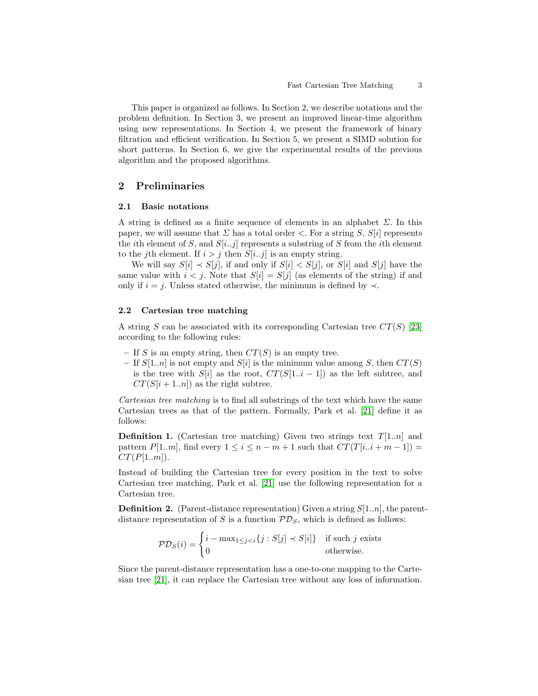This paper is organized as follows. In Section 2, we describe notations and the problem definition. In Section 3, we present an improved linear-time algorithm using new representations. In Section 4, we present the framework of binary filtration and efficient verification. In Section 5, we present a SIMD solution for short patterns. In Section 6, we give the experimental results of the previous algorithm and the proposed algorithms.

# 2 Preliminaries

#### 2.1 Basic notations

A string is defined as a finite sequence of elements in an alphabet  $\Sigma$ . In this paper, we will assume that  $\Sigma$  has a total order  $\leq$ . For a string  $S, S[i]$  represents the *i*th element of S, and  $S[i..j]$  represents a substring of S from the *i*th element to the j<sup>th</sup> element. If  $i > j$  then  $S[i..j]$  is an empty string.

We will say  $S[i] \prec S[j]$ , if and only if  $S[i] \prec S[j]$ , or  $S[i]$  and  $S[j]$  have the same value with  $i < j$ . Note that  $S[i] = S[j]$  (as elements of the string) if and only if  $i = j$ . Unless stated otherwise, the minimum is defined by  $\prec$ .

### 2.2 Cartesian tree matching

A string S can be associated with its corresponding Cartesian tree  $CT(S)$  [\[23\]](#page-13-4) according to the following rules:

- If S is an empty string, then  $CT(S)$  is an empty tree.
- If  $S[1..n]$  is not empty and  $S[i]$  is the minimum value among S, then  $CT(S)$ is the tree with  $S[i]$  as the root,  $CT(S[1..i-1])$  as the left subtree, and  $CT(S[i+1..n])$  as the right subtree.

Cartesian tree matching is to find all substrings of the text which have the same Cartesian trees as that of the pattern. Formally, Park et al. [\[21\]](#page-13-3) define it as follows:

**Definition 1.** (Cartesian tree matching) Given two strings text  $T[1..n]$  and pattern  $P[1..m]$ , find every  $1 \leq i \leq n-m+1$  such that  $CT(T[i..i+m-1]) =$  $CT(P[1..m])$ .

Instead of building the Cartesian tree for every position in the text to solve Cartesian tree matching, Park et al. [\[21\]](#page-13-3) use the following representation for a Cartesian tree.

**Definition 2.** (Parent-distance representation) Given a string  $S[1..n]$ , the parentdistance representation of S is a function  $\mathcal{PD}_S$ , which is defined as follows:

$$
\mathcal{PD}_S(i) = \begin{cases} i - \max_{1 \le j < i} \{j : S[j] \prec S[i] \} & \text{if such } j \text{ exists} \\ 0 & \text{otherwise.} \end{cases}
$$

Since the parent-distance representation has a one-to-one mapping to the Cartesian tree [\[21\]](#page-13-3), it can replace the Cartesian tree without any loss of information.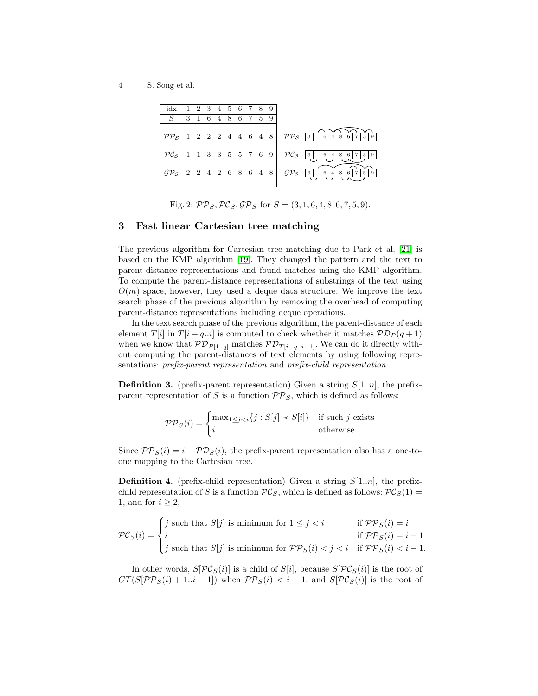<span id="page-3-0"></span>4 S. Song et al.

| $idx$   1 2 3 4 5 6 7 8 9 |                   |  |  |  |  |                                                                                                                                                                                |
|---------------------------|-------------------|--|--|--|--|--------------------------------------------------------------------------------------------------------------------------------------------------------------------------------|
|                           | 3 1 6 4 8 6 7 5 9 |  |  |  |  |                                                                                                                                                                                |
|                           |                   |  |  |  |  | $\boxed{\mathcal{PP}_{\mathcal{S}}\left[1\ 2\ 2\ 2\ 4\ 4\ 6\ 4\ 8\right] \mathcal{PP}_{\mathcal{S}}\left[3\right]\left[1\right]6\left[4\right]8\left[6\right]7\left[5\right]}$ |
|                           |                   |  |  |  |  | $\left \begin{array}{ccc c} \mathcal{PC}_{\mathcal{S}} & 1 & 1 & 3 & 3 & 5 & 5 & 7 & 6 & 9 \end{array}\right $ $\mathcal{PC}_{\mathcal{S}}$ 316486759                          |
|                           |                   |  |  |  |  | $\mathcal{GP}_{\mathcal{S}}$ 2 4 2 6 8 6 4 8 $\mathcal{GP}_{\mathcal{S}}$ 3 1 6 4 8 6 7 5 9                                                                                    |

Fig. 2:  $PP_S$ ,  $PC_S$ ,  $\mathcal{GP}_S$  for  $S = (3, 1, 6, 4, 8, 6, 7, 5, 9)$ .

### <span id="page-3-1"></span>3 Fast linear Cartesian tree matching

The previous algorithm for Cartesian tree matching due to Park et al. [\[21\]](#page-13-3) is based on the KMP algorithm [\[19\]](#page-13-5). They changed the pattern and the text to parent-distance representations and found matches using the KMP algorithm. To compute the parent-distance representations of substrings of the text using  $O(m)$  space, however, they used a deque data structure. We improve the text search phase of the previous algorithm by removing the overhead of computing parent-distance representations including deque operations.

In the text search phase of the previous algorithm, the parent-distance of each element T[i] in T[i – q..i] is computed to check whether it matches  $\mathcal{PD}_P(q+1)$ when we know that  $\mathcal{PD}_{P[1..q]}$  matches  $\mathcal{PD}_{T[i-q..i-1]}$ . We can do it directly without computing the parent-distances of text elements by using following representations: prefix-parent representation and prefix-child representation.

**Definition 3.** (prefix-parent representation) Given a string  $S[1..n]$ , the prefixparent representation of S is a function  $\mathcal{PP}_S$ , which is defined as follows:

$$
\mathcal{PP}_S(i) = \begin{cases} \max_{1 \le j < i} \{j : S[j] \prec S[i] \} & \text{if such } j \text{ exists} \\ i & \text{otherwise.} \end{cases}
$$

Since  $\mathcal{PP}_S(i) = i - \mathcal{PD}_S(i)$ , the prefix-parent representation also has a one-toone mapping to the Cartesian tree.

**Definition 4.** (prefix-child representation) Given a string  $S[1..n]$ , the prefixchild representation of S is a function  $PC_S$ , which is defined as follows:  $PC_S(1)$  = 1, and for  $i \geq 2$ ,

$$
\mathcal{PC}_S(i) = \begin{cases} j \text{ such that } S[j] \text{ is minimum for } 1 \le j < i \\ i & \text{if } \mathcal{PP}_S(i) = i - 1 \\ j \text{ such that } S[j] \text{ is minimum for } \mathcal{PP}_S(i) < j < i \quad \text{if } \mathcal{PP}_S(i) < i - 1. \end{cases}
$$

In other words,  $S[\mathcal{PC}_S(i)]$  is a child of  $S[i]$ , because  $S[\mathcal{PC}_S(i)]$  is the root of  $CT(S[\mathcal{PP}_S(i) + 1..i - 1])$  when  $\mathcal{PP}_S(i) < i - 1$ , and  $S[\mathcal{PC}_S(i)]$  is the root of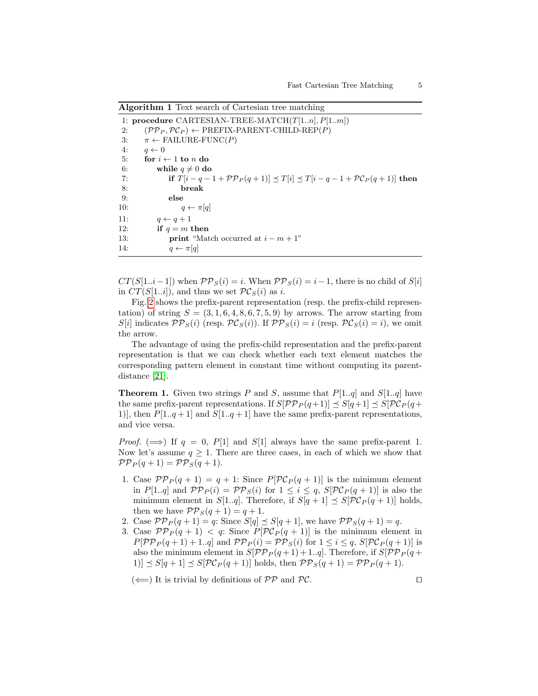<span id="page-4-0"></span>Algorithm 1 Text search of Cartesian tree matching

1: procedure CARTESIAN-TREE-MATCH $(T[1..n], P[1..m])$ 2:  $(PP_P, PC_P) \leftarrow \text{PREFIX-PARENT-CHILD-REP}(P)$ <br>3:  $\pi \leftarrow \text{FAILURE-FUNC}(P)$ 3:  $\pi \leftarrow \text{FAILURE-FUNC}(P)$ <br>4:  $q \leftarrow 0$ 4:  $q \leftarrow 0$ <br>5: for  $i \leftarrow$ 5: for  $i \leftarrow 1$  to *n* do<br>6: while  $a \neq 0$  do 6: while  $q \neq 0$  do<br>7: if  $T|i - q -$ 7: if  $T[i - q - 1 + \mathcal{PP}_P(q+1)] \preceq T[i] \preceq T[i - q - 1 + \mathcal{PC}_P(q+1)]$  then 8: 8: break 9: else 10:  $q \leftarrow \pi[q]$ 11:  $q \leftarrow q + 1$ <br>12: if  $q = m_1$ if  $q = m$  then 13: **print** "Match occurred at  $i - m + 1$ "<br>14:  $q \leftarrow \pi[a]$  $q \leftarrow \pi[q]$ 

 $CT(S[1..i-1])$  when  $\mathcal{PP}_S(i) = i$ . When  $\mathcal{PP}_S(i) = i-1$ , there is no child of  $S[i]$ in  $CT(S[1..i])$ , and thus we set  $PC_S(i)$  as i.

Fig. [2](#page-3-0) shows the prefix-parent representation (resp. the prefix-child representation) of string  $S = (3, 1, 6, 4, 8, 6, 7, 5, 9)$  by arrows. The arrow starting from  $S[i]$  indicates  $\mathcal{PP}_S(i)$  (resp.  $\mathcal{PC}_S(i)$ ). If  $\mathcal{PP}_S(i) = i$  (resp.  $\mathcal{PC}_S(i) = i$ ), we omit the arrow.

The advantage of using the prefix-child representation and the prefix-parent representation is that we can check whether each text element matches the corresponding pattern element in constant time without computing its parentdistance [\[21\]](#page-13-3).

<span id="page-4-1"></span>**Theorem 1.** Given two strings P and S, assume that  $P[1..q]$  and  $S[1..q]$  have the same prefix-parent representations. If  $S[\mathcal{PP}_P(q+1)] \preceq S[q+1] \preceq S[\mathcal{PC}_P(q+1)]$ 1)], then  $P[1..q+1]$  and  $S[1..q+1]$  have the same prefix-parent representations, and vice versa.

*Proof.* ( $\implies$ ) If  $q = 0$ , P[1] and S[1] always have the same prefix-parent 1. Now let's assume  $q \geq 1$ . There are three cases, in each of which we show that  $\mathcal{PP}_P(q+1) = \mathcal{PP}_S(q+1).$ 

- 1. Case  $\mathcal{PP}_P(q+1) = q+1$ : Since  $P[\mathcal{PC}_P(q+1)]$  is the minimum element in P[1..q] and  $\mathcal{PP}_P(i) = \mathcal{PP}_S(i)$  for  $1 \leq i \leq q$ ,  $S[\mathcal{PC}_P(q+1)]$  is also the minimum element in S[1..q]. Therefore, if  $S[q + 1] \preceq S[\mathcal{PC}_P(q + 1)]$  holds, then we have  $\mathcal{PP}_S(q+1) = q+1$ .
- 2. Case  $\mathcal{PP}_P(q+1) = q$ : Since  $S[q] \preceq S[q+1]$ , we have  $\mathcal{PP}_S(q+1) = q$ .
- 3. Case  $\mathcal{PP}_P(q + 1) < q$ : Since  $P[\mathcal{PC}_P(q + 1)]$  is the minimum element in  $P[\mathcal{PP}_P(q+1)+1..q]$  and  $\mathcal{PP}_P(i) = \mathcal{PP}_S(i)$  for  $1 \leq i \leq q$ ,  $S[\mathcal{PC}_P(q+1)]$  is also the minimum element in  $S[\mathcal{PP}_P(q+1)+1..q]$ . Therefore, if  $S[\mathcal{PP}_P(q+1)+1..q]$ 1)]  $\leq S[q + 1] \leq S[\mathcal{PC}_P(q + 1)]$  holds, then  $\mathcal{PP}_S(q + 1) = \mathcal{PP}_P(q + 1)$ .

```
(\Leftarrow) It is trivial by definitions of \mathcal{PP} and \mathcal{PC}.
```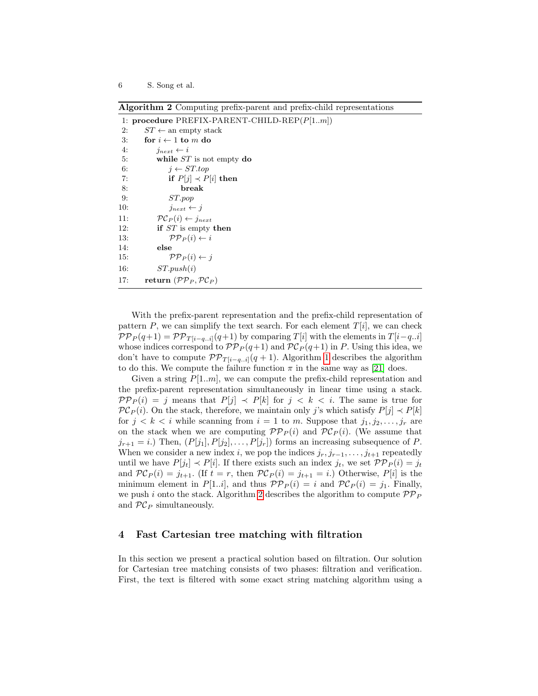<span id="page-5-0"></span>Algorithm 2 Computing prefix-parent and prefix-child representations

|     | 1: procedure PREFIX-PARENT-CHILD-REP $(P[1m])$ |
|-----|------------------------------------------------|
| 2:  | $ST \leftarrow$ an empty stack                 |
| 3:  | for $i \leftarrow 1$ to m do                   |
| 4:  | $j_{next} \leftarrow i$                        |
| 5:  | while $ST$ is not empty do                     |
| 6:  | $i \leftarrow ST.top$                          |
| 7:  | if $P[j] \prec P[i]$ then                      |
| 8:  | break                                          |
| 9:  | ST.pop                                         |
| 10: | $j_{next} \leftarrow j$                        |
| 11: | $\mathcal{PC}_P(i) \leftarrow j_{next}$        |
| 12: | if $ST$ is empty then                          |
| 13: | $\mathcal{PP}_P(i) \leftarrow i$               |
| 14: | else                                           |
| 15: | $\mathcal{PP}_P(i) \leftarrow j$               |
| 16: | ST.push(i)                                     |
| 17: | return $(\mathcal{PP}_P, \mathcal{PC}_P)$      |

With the prefix-parent representation and the prefix-child representation of pattern P, we can simplify the text search. For each element  $T[i]$ , we can check  $\mathcal{PP}_P(q+1) = \mathcal{PP}_{T[i-q..i]}(q+1)$  by comparing  $T[i]$  with the elements in  $T[i-q..i]$ whose indices correspond to  $\mathcal{PP}_P(q+1)$  and  $\mathcal{PC}_P(q+1)$  in P. Using this idea, we don't have to compute  $\mathcal{PP}_{T[i-q..i]}(q+1)$ . Algorithm [1](#page-4-0) describes the algorithm to do this. We compute the failure function  $\pi$  in the same way as [\[21\]](#page-13-3) does.

Given a string  $P[1..m]$ , we can compute the prefix-child representation and the prefix-parent representation simultaneously in linear time using a stack.  $\mathcal{PP}_P(i) = j$  means that  $P[j] \prec P[k]$  for  $j \prec k \prec i$ . The same is true for  $PC_P(i)$ . On the stack, therefore, we maintain only j's which satisfy  $P[j] \prec P[k]$ for  $j < k < i$  while scanning from  $i = 1$  to m. Suppose that  $j_1, j_2, \ldots, j_r$  are on the stack when we are computing  $\mathcal{PP}_P(i)$  and  $\mathcal{PC}_P(i)$ . (We assume that  $j_{r+1} = i$ .) Then,  $(P[j_1], P[j_2], \ldots, P[j_r])$  forms an increasing subsequence of P. When we consider a new index i, we pop the indices  $j_r, j_{r-1}, \ldots, j_{t+1}$  repeatedly until we have  $P[j_t] \prec P[i]$ . If there exists such an index  $j_t$ , we set  $\mathcal{PP}_P(i) = j_t$ and  $PC_P(i) = j_{t+1}$ . (If  $t = r$ , then  $PC_P(i) = j_{t+1} = i$ .) Otherwise,  $P[i]$  is the minimum element in  $P[1..i]$ , and thus  $\mathcal{PP}_P(i) = i$  and  $\mathcal{PC}_P(i) = j_1$ . Finally, we push i onto the stack. Algorithm [2](#page-5-0) describes the algorithm to compute  $\mathcal{PP}_P$ and  $PC_P$  simultaneously.

### 4 Fast Cartesian tree matching with filtration

In this section we present a practical solution based on filtration. Our solution for Cartesian tree matching consists of two phases: filtration and verification. First, the text is filtered with some exact string matching algorithm using a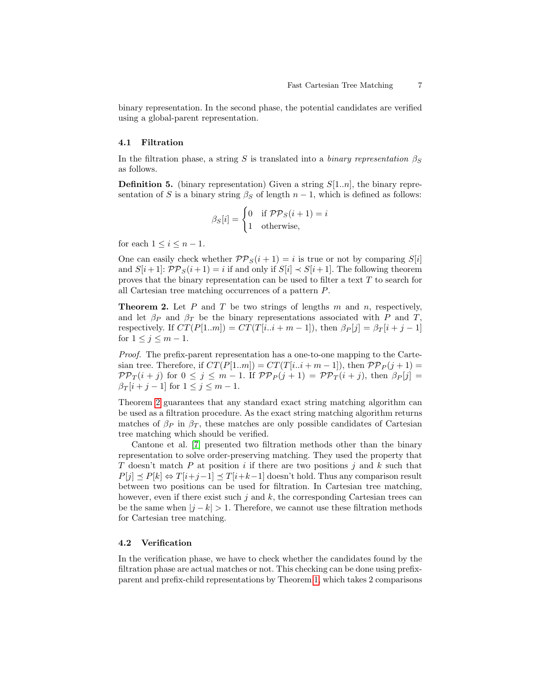binary representation. In the second phase, the potential candidates are verified using a global-parent representation.

#### <span id="page-6-2"></span>4.1 Filtration

In the filtration phase, a string S is translated into a binary representation  $\beta_S$ as follows.

**Definition 5.** (binary representation) Given a string  $S[1..n]$ , the binary representation of S is a binary string  $\beta_S$  of length  $n-1$ , which is defined as follows:

$$
\beta_S[i] = \begin{cases} 0 & \text{if } \mathcal{PP}_S(i+1) = i \\ 1 & \text{otherwise,} \end{cases}
$$

for each  $1 \leq i \leq n-1$ .

One can easily check whether  $PP_S(i + 1) = i$  is true or not by comparing  $S[i]$ and  $S[i+1]$ :  $\mathcal{PP}_S(i+1) = i$  if and only if  $S[i] \prec S[i+1]$ . The following theorem proves that the binary representation can be used to filter a text T to search for all Cartesian tree matching occurrences of a pattern P.

<span id="page-6-0"></span>**Theorem 2.** Let  $P$  and  $T$  be two strings of lengths  $m$  and  $n$ , respectively, and let  $\beta_P$  and  $\beta_T$  be the binary representations associated with P and T, respectively. If  $CT(P[1..m]) = CT(T[i..i + m - 1])$ , then  $\beta_P[j] = \beta_T[i + j - 1]$ for  $1 \leq j \leq m-1$ .

Proof. The prefix-parent representation has a one-to-one mapping to the Cartesian tree. Therefore, if  $CT(P[1..m]) = CT(T[i..i + m - 1])$ , then  $\mathcal{PP}_P(j+1) =$  $\mathcal{PP}_T(i+j)$  for  $0 \leq j \leq m-1$ . If  $\mathcal{PP}_P(j+1) = \mathcal{PP}_T(i+j)$ , then  $\beta_P[j] =$  $\beta_T[i+j-1]$  for  $1 \leq j \leq m-1$ .

Theorem [2](#page-6-0) guarantees that any standard exact string matching algorithm can be used as a filtration procedure. As the exact string matching algorithm returns matches of  $\beta_P$  in  $\beta_T$ , these matches are only possible candidates of Cartesian tree matching which should be verified.

Cantone et al. [\[7\]](#page-12-11) presented two filtration methods other than the binary representation to solve order-preserving matching. They used the property that T doesn't match P at position i if there are two positions j and k such that  $P[j] \preceq P[k] \Leftrightarrow T[i+j-1] \preceq T[i+k-1]$  doesn't hold. Thus any comparison result between two positions can be used for filtration. In Cartesian tree matching, however, even if there exist such  $j$  and  $k$ , the corresponding Cartesian trees can be the same when  $|j - k| > 1$ . Therefore, we cannot use these filtration methods for Cartesian tree matching.

#### <span id="page-6-1"></span>4.2 Verification

In the verification phase, we have to check whether the candidates found by the filtration phase are actual matches or not. This checking can be done using prefixparent and prefix-child representations by Theorem [1,](#page-4-1) which takes 2 comparisons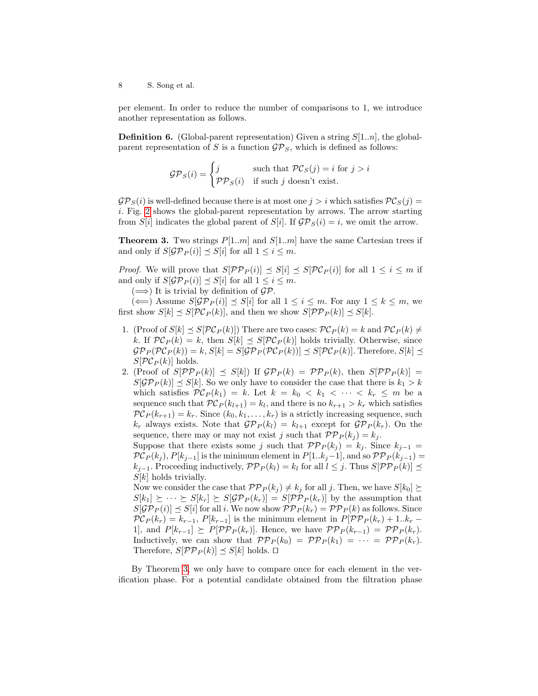per element. In order to reduce the number of comparisons to 1, we introduce another representation as follows.

**Definition 6.** (Global-parent representation) Given a string  $S[1..n]$ , the globalparent representation of S is a function  $\mathcal{GP}_S$ , which is defined as follows:

$$
\mathcal{GP}_S(i) = \begin{cases} j & \text{such that } \mathcal{PC}_S(j) = i \text{ for } j > i \\ \mathcal{PP}_S(i) & \text{if such } j \text{ doesn't exist.} \end{cases}
$$

 $\mathcal{GP}_S(i)$  is well-defined because there is at most one  $j > i$  which satisfies  $\mathcal{PC}_S(j)$  = i. Fig. [2](#page-3-0) shows the global-parent representation by arrows. The arrow starting from S[i] indicates the global parent of S[i]. If  $\mathcal{GP}_S(i) = i$ , we omit the arrow.

<span id="page-7-0"></span>**Theorem 3.** Two strings  $P[1..m]$  and  $S[1..m]$  have the same Cartesian trees if and only if  $S[\mathcal{GP}_P(i)] \preceq S[i]$  for all  $1 \leq i \leq m$ .

*Proof.* We will prove that  $S[\mathcal{PP}_P(i)] \preceq S[i] \preceq S[\mathcal{PC}_P(i)]$  for all  $1 \leq i \leq m$  if and only if  $S[\mathcal{GP}_P(i)] \preceq S[i]$  for all  $1 \leq i \leq m$ .

 $(\Longrightarrow)$  It is trivial by definition of  $\mathcal{GP}$ .

 $(\Leftarrow)$  Assume  $S[\mathcal{GP}_P(i)] \preceq S[i]$  for all  $1 \leq i \leq m$ . For any  $1 \leq k \leq m$ , we first show  $S[k] \preceq S[\mathcal{PC}_P(k)]$ , and then we show  $S[\mathcal{PP}_P(k)] \preceq S[k]$ .

- 1. (Proof of  $S[k] \preceq S[\mathcal{PC}_P(k)]$ ) There are two cases:  $\mathcal{PC}_P(k) = k$  and  $\mathcal{PC}_P(k) \neq$ k. If  $PC_P(k) = k$ , then  $S[k] \preceq S[\mathcal{PC}_P(k)]$  holds trivially. Otherwise, since  $\mathcal{GP}_P(\mathcal{PC}_P(k)) = k, S[k] = S[\mathcal{GP}_P(\mathcal{PC}_P(k))] \preceq S[\mathcal{PC}_P(k)].$  Therefore,  $S[k] \preceq$  $S[\mathcal{PC}_P(k)]$  holds.
- 2. (Proof of  $S[\mathcal{PP}_P(k)] \preceq S[k]$ ) If  $\mathcal{GP}_P(k) = \mathcal{PP}_P(k)$ , then  $S[\mathcal{PP}_P(k)] =$  $S[\mathcal{GP}_P(k)] \preceq S[k]$ . So we only have to consider the case that there is  $k_1 > k$ which satisfies  $\mathcal{PC}_P(k_1) = k$ . Let  $k = k_0 < k_1 < \cdots < k_r \leq m$  be a sequence such that  $PC_P(k_{l+1}) = k_l$ , and there is no  $k_{r+1} > k_r$  which satisfies  $PC_P(k_{r+1}) = k_r$ . Since  $(k_0, k_1, \ldots, k_r)$  is a strictly increasing sequence, such  $k_r$  always exists. Note that  $\mathcal{GP}_P(k_l) = k_{l+1}$  except for  $\mathcal{GP}_P(k_r)$ . On the sequence, there may or may not exist j such that  $\mathcal{PP}_P(k_j) = k_j$ . Suppose that there exists some j such that  $\mathcal{PP}_P(k_j) = k_j$ . Since  $k_{j-1} =$

 $\mathcal{PC}_P(k_j), P[k_{j-1}]$  is the minimum element in  $P[1..k_j-1]$ , and so  $\mathcal{PP}_P(k_{j-1}) =$  $k_{j-1}$ . Proceeding inductively,  $\mathcal{PP}_P(k_l) = k_l$  for all  $l \leq j$ . Thus  $S[\mathcal{PP}_P(k)]$   $\preceq$  $S[k]$  holds trivially.

Now we consider the case that  $\mathcal{PP}_P(k_j) \neq k_j$  for all j. Then, we have  $S[k_0] \succeq$  $S[k_1] \succeq \cdots \succeq S[k_r] \succeq S[\mathcal{GP}_P(k_r)] = S[\mathcal{PP}_P(k_r)]$  by the assumption that  $S[\mathcal{GP}_P(i)] \preceq S[i]$  for all i. We now show  $\mathcal{PP}_P(k_r) = \mathcal{PP}_P(k)$  as follows. Since  $\mathcal{PC}_P(k_r) = k_{r-1}, P[k_{r-1}]$  is the minimum element in  $P[\mathcal{PP}_P(k_r) + 1..k_r -$ 1], and  $P[k_{r-1}] \succeq P[\mathcal{PP}_P(k_r)]$ . Hence, we have  $\mathcal{PP}_P(k_{r-1}) = \mathcal{PP}_P(k_r)$ . Inductively, we can show that  $\mathcal{PP}_P(k_0) = \mathcal{PP}_P(k_1) = \cdots = \mathcal{PP}_P(k_r)$ . Therefore,  $S[\mathcal{PP}_P(k)] \preceq S[k]$  holds.  $\square$ 

By Theorem [3,](#page-7-0) we only have to compare once for each element in the verification phase. For a potential candidate obtained from the filtration phase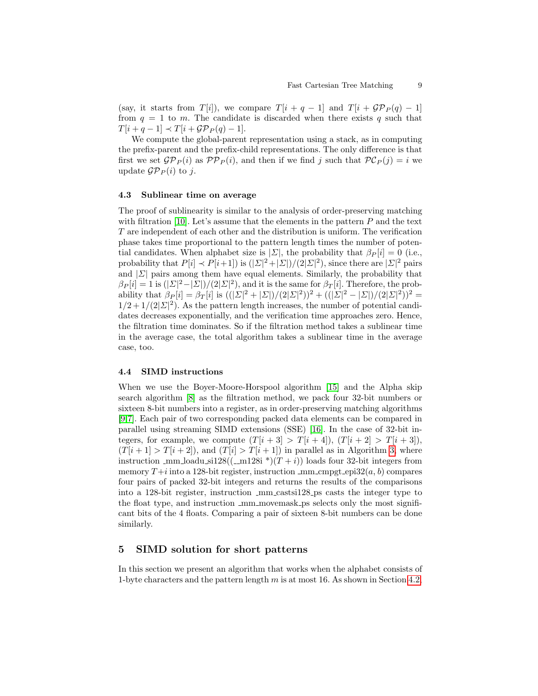(say, it starts from  $T[i]$ ), we compare  $T[i + q - 1]$  and  $T[i + \mathcal{GP}_P(q) - 1]$ from  $q = 1$  to m. The candidate is discarded when there exists q such that  $T[i+q-1] \prec T[i+\mathcal{GP}_P(q)-1].$ 

We compute the global-parent representation using a stack, as in computing the prefix-parent and the prefix-child representations. The only difference is that first we set  $\mathcal{GP}_P(i)$  as  $\mathcal{PP}_P(i)$ , and then if we find j such that  $\mathcal{PC}_P(j) = i$  we update  $\mathcal{GP}_P(i)$  to j.

#### 4.3 Sublinear time on average

The proof of sublinearity is similar to the analysis of order-preserving matching with filtration [\[10\]](#page-12-9). Let's assume that the elements in the pattern  $P$  and the text T are independent of each other and the distribution is uniform. The verification phase takes time proportional to the pattern length times the number of potential candidates. When alphabet size is  $|\Sigma|$ , the probability that  $\beta_P[i] = 0$  (i.e., probability that  $P[i] \prec P[i+1]$ ) is  $(|\Sigma|^2 + |\Sigma|)/(2|\Sigma|^2)$ , since there are  $|\Sigma|^2$  pairs and  $|\Sigma|$  pairs among them have equal elements. Similarly, the probability that  $\beta_P[i] = 1$  is  $(|\Sigma|^2 - |\Sigma|)/(2|\Sigma|^2)$ , and it is the same for  $\beta_T[i]$ . Therefore, the probability that  $\beta_P[i] = \beta_T[i]$  is  $((|\Sigma|^2 + |\Sigma|)/(2|\Sigma|^2))^2 + ((|\Sigma|^2 - |\Sigma|)/(2|\Sigma|^2))^2 =$  $1/2 + 1/(2|\mathcal{L}|^2)$ . As the pattern length increases, the number of potential candidates decreases exponentially, and the verification time approaches zero. Hence, the filtration time dominates. So if the filtration method takes a sublinear time in the average case, the total algorithm takes a sublinear time in the average case, too.

#### 4.4 SIMD instructions

When we use the Boyer-Moore-Horspool algorithm [\[15\]](#page-12-13) and the Alpha skip search algorithm [\[8\]](#page-12-12) as the filtration method, we pack four 32-bit numbers or sixteen 8-bit numbers into a register, as in order-preserving matching algorithms [\[9,](#page-12-10)[7\]](#page-12-11). Each pair of two corresponding packed data elements can be compared in parallel using streaming SIMD extensions (SSE) [\[16\]](#page-13-6). In the case of 32-bit integers, for example, we compute  $(T[i+3] > T[i+4]$ ,  $(T[i+2] > T[i+3])$ ,  $(T[i+1] > T[i+2])$ , and  $(T[i] > T[i+1])$  in parallel as in Algorithm [3,](#page-9-0) where instruction \_mm\_loadu\_si128((\_m128i \*)(T + i)) loads four 32-bit integers from memory  $T+i$  into a 128-bit register, instruction  $\text{mm\_cmpgt\_epi32}(a, b)$  compares four pairs of packed 32-bit integers and returns the results of the comparisons into a 128-bit register, instruction  $\text{mm}\text{-}\text{casts}$  integers the integer type to the float type, and instruction  $\text{mm}$  movemask ps selects only the most significant bits of the 4 floats. Comparing a pair of sixteen 8-bit numbers can be done similarly.

### <span id="page-8-0"></span>5 SIMD solution for short patterns

In this section we present an algorithm that works when the alphabet consists of 1-byte characters and the pattern length  $m$  is at most 16. As shown in Section [4.2,](#page-6-1)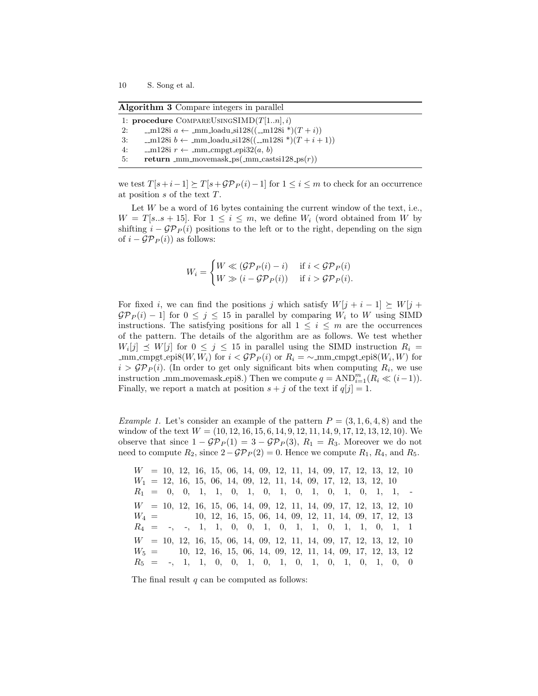<span id="page-9-0"></span>Algorithm 3 Compare integers in parallel

|    | 1: procedure COMPAREUSINGSIMD $(T[1n], i)$                            |
|----|-----------------------------------------------------------------------|
| 2: | $-m128i$ <i>a</i> ← mm_loadu_si128((_m128i *)( <i>T</i> + <i>i</i> )) |
| 3: | $-m128i b \leftarrow mm\_loadu_s i128((\_m128i*)(T+i+1))$             |
| 4: | _m128i $r \leftarrow$ _mm_cmpgt_epi32( <i>a</i> , <i>b</i> )          |
| 5: | return _mm_movemask_ps(_mm_castsi128_ps( $r$ ))                       |

we test  $T[s+i-1] \succeq T[s+\mathcal{GP}_P(i)-1]$  for  $1 \leq i \leq m$  to check for an occurrence at position s of the text T.

Let  $W$  be a word of 16 bytes containing the current window of the text, i.e.,  $W = T[s..s + 15]$ . For  $1 \leq i \leq m$ , we define  $W_i$  (word obtained from W by shifting  $i - \mathcal{GP}_P(i)$  positions to the left or to the right, depending on the sign of  $i - \mathcal{GP}_P(i)$  as follows:

$$
W_i = \begin{cases} W \ll (\mathcal{GP}_P(i) - i) & \text{if } i < \mathcal{GP}_P(i) \\ W \gg (i - \mathcal{GP}_P(i)) & \text{if } i > \mathcal{GP}_P(i). \end{cases}
$$

For fixed i, we can find the positions j which satisfy  $W[j + i - 1] \succeq W[j +$  $\mathcal{GP}_P(i) - 1$  for  $0 \leq j \leq 15$  in parallel by comparing  $W_i$  to W using SIMD instructions. The satisfying positions for all  $1 \leq i \leq m$  are the occurrences of the pattern. The details of the algorithm are as follows. We test whether  $W_i[j] \preceq W[j]$  for  $0 \leq j \leq 15$  in parallel using the SIMD instruction  $R_i =$ mm\_cmpgt\_epi8( $W, W_i$ ) for  $i <$   $\mathcal{GP}_P(i)$  or  $R_i = \sim \text{mm\_cmpgt\_epi8}(W_i, W)$  for  $i > \mathcal{GP}_P(i)$ . (In order to get only significant bits when computing  $R_i$ , we use instruction \_mm\_movemask\_epi8.) Then we compute  $q = AND_{i=1}^{m} (R_i \ll (i-1)).$ Finally, we report a match at position  $s + j$  of the text if  $q[j] = 1$ .

*Example 1.* Let's consider an example of the pattern  $P = (3, 1, 6, 4, 8)$  and the window of the text  $W = (10, 12, 16, 15, 6, 14, 9, 12, 11, 14, 9, 17, 12, 13, 12, 10)$ . We observe that since  $1 - \mathcal{GP}_P(1) = 3 - \mathcal{GP}_P(3)$ ,  $R_1 = R_3$ . Moreover we do not need to compute  $R_2$ , since  $2-\mathcal{GP}_P(2)=0$ . Hence we compute  $R_1, R_4$ , and  $R_5$ .

W = 10, 12, 16, 15, 06, 14, 09, 12, 11, 14, 09, 17, 12, 13, 12, 10  $W_1 = 12, 16, 15, 06, 14, 09, 12, 11, 14, 09, 17, 12, 13, 12, 10$  $R_1 = 0, 0, 1, 1, 0, 1, 0, 1, 0, 1, 0, 1, 0, 1, 1, 1,$ W = 10, 12, 16, 15, 06, 14, 09, 12, 11, 14, 09, 17, 12, 13, 12, 10  $W_4 = 10, 12, 16, 15, 06, 14, 09, 12, 11, 14, 09, 17, 12, 13$  $R_4 = -1, -1, 1, 1, 0, 0, 1, 0, 1, 1, 0, 1, 1, 0, 1, 1$ W = 10, 12, 16, 15, 06, 14, 09, 12, 11, 14, 09, 17, 12, 13, 12, 10  $W_5 = 10, 12, 16, 15, 06, 14, 09, 12, 11, 14, 09, 17, 12, 13, 12$  $R_5 = -1, 1, 1, 0, 0, 1, 0, 1, 0, 1, 0, 1, 0, 1, 0, 0, 0$ 

The final result  $q$  can be computed as follows: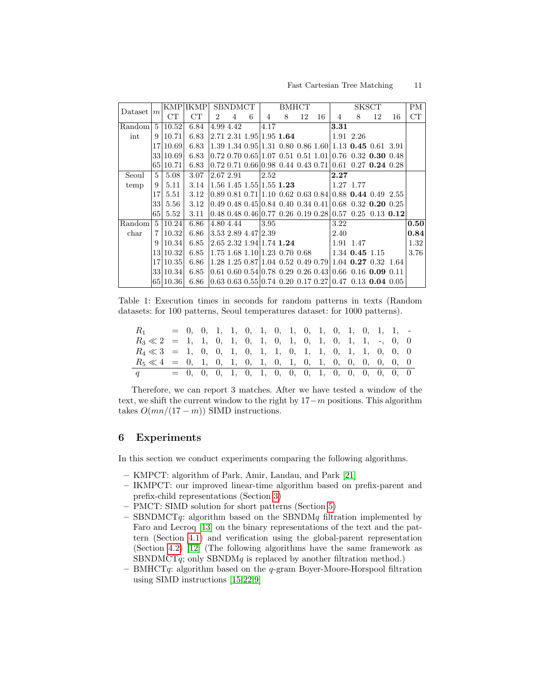<span id="page-10-0"></span>

| Dataset       | m               |          | <b>KMP</b> IKMP | SBNDMCT        |           |   |                     | <b>BMHCT</b>                    |    |    |      | $PM$      |                                                                                                          |    |      |
|---------------|-----------------|----------|-----------------|----------------|-----------|---|---------------------|---------------------------------|----|----|------|-----------|----------------------------------------------------------------------------------------------------------|----|------|
|               |                 | CT       | CT              | $\overline{2}$ | 4         | 6 | 4                   | 8                               | 12 | 16 | 4    | 8         | 12                                                                                                       | 16 | CT   |
| Random        | $\frac{5}{2}$   | 10.52    | 6.84            |                | 4.99 4.42 |   | 4.17                |                                 |    |    | 3.31 |           |                                                                                                          |    |      |
| int           | 9               | 10.71    | 6.83            |                |           |   |                     | 2.71 2.31 1.95 1.95 1.64        |    |    |      | 1.91 2.26 |                                                                                                          |    |      |
|               |                 | 17 10.69 | 6.83            |                |           |   |                     |                                 |    |    |      |           | $1.39$ 1.34 0.95 1.31 0.80 0.86 1.60 1.13 0.45 0.61 3.91                                                 |    |      |
|               |                 | 33 10.69 | 6.83            |                |           |   |                     |                                 |    |    |      |           | $\vert 0.72 \; 0.70 \; 0.65 \vert 1.07 \; 0.51 \; 0.51 \; 1.01 \vert 0.76 \; 0.32 \; 0.30 \; 0.48 \vert$ |    |      |
|               |                 | 65 10.71 | 6.83            |                |           |   |                     |                                 |    |    |      |           | $0.72$ 0.71 0.66 0.98 0.44 0.43 0.71 0.61 0.27 0.24 0.28                                                 |    |      |
| Seoul         | 5               | 5.08     | 3.07            | 2.67 2.91      |           |   | 2.52                |                                 |    |    | 2.27 |           |                                                                                                          |    |      |
| temp          | 9               | 5.11     | 3.14            |                |           |   |                     | $1.56$ 1.45 1.55 1.55 1.23      |    |    |      | 1.27 1.77 |                                                                                                          |    |      |
|               | 17 <sup>1</sup> | 5.51     | 3.12            |                |           |   |                     |                                 |    |    |      |           | $0.89$ $0.81$ $0.71$   1.10 $0.62$ $0.63$ $0.84$   $0.88$ <b>0.44</b> $0.49$ $2.55$                      |    |      |
|               | 331             | 5.56     | 3.12            |                |           |   |                     |                                 |    |    |      |           | $0.49\;0.48\;0.45\;0.84\;0.40\;0.34\;0.41\;0.68\;0.32\;0.20\;0.25$                                       |    |      |
|               | 65              | 5.52     | 3.11            |                |           |   |                     |                                 |    |    |      |           | $0.48$ 0.48 0.46 0.77 0.26 0.19 0.28 0.57 0.25 0.13 0.12                                                 |    |      |
| Random        |                 | 5 10.24  | 6.86            | 4.80 4.44      |           |   | 3.95                |                                 |    |    | 3.22 |           |                                                                                                          |    | 0.50 |
| $_{\rm char}$ | $\overline{7}$  | 10.32    | 6.86            |                |           |   | 3.53 2.89 4.47 2.39 |                                 |    |    | 2.40 |           |                                                                                                          |    | 0.84 |
|               | 9               | 10.34    | 6.85            |                |           |   |                     | 2.65 2.32 1.94 1.74 1.24        |    |    |      | 1.91 1.47 |                                                                                                          |    | 1.32 |
|               |                 | 13 10.32 | 6.85            |                |           |   |                     | $1.75$ 1.68 1.10 1.23 0.70 0.68 |    |    |      |           | $1.34$ 0.45 1.15                                                                                         |    | 3.76 |
|               |                 | 17 10.35 | 6.86            |                |           |   |                     |                                 |    |    |      |           | 1.28 1.25 0.87 1.04 0.52 0.49 0.79 1.04 0.27 0.32 1.64                                                   |    |      |
|               |                 | 33 10.34 | 6.85            |                |           |   |                     |                                 |    |    |      |           | $0.61$ 0.60 0.54 0.78 0.29 0.26 0.43 0.66 0.16 0.09 0.11                                                 |    |      |
|               |                 | 65 10.36 | 6.86            |                |           |   |                     |                                 |    |    |      |           | $0.63$ $0.63$ $0.55$ $0.74$ $0.20$ $0.17$ $0.27$ $0.47$ $0.13$ $0.04$ $0.05$                             |    |      |

Table 1: Execution times in seconds for random patterns in texts (Random datasets: for 100 patterns, Seoul temperatures dataset: for 1000 patterns).

| $R_1$                                                              |  |  |  |  |  |  |  | $= 0, 0, 1, 1, 0, 1, 0, 1, 0, 1, 0, 1, 0, 1, 1, 1, -$ |  |
|--------------------------------------------------------------------|--|--|--|--|--|--|--|-------------------------------------------------------|--|
| $R_3 \ll 2 = 1, 1, 0, 1, 0, 1, 0, 1, 0, 1, 0, 1, 1, -, 0, 0$       |  |  |  |  |  |  |  |                                                       |  |
| $R_4 \ll 3 = 1, 0, 0, 1, 0, 1, 1, 0, 1, 1, 0, 1, 1, 0, 0, 0, 0$    |  |  |  |  |  |  |  |                                                       |  |
| $R_5 \ll 4 = 0, 1, 0, 1, 0, 1, 0, 1, 0, 1, 0, 1, 0, 0, 0, 0, 0, 0$ |  |  |  |  |  |  |  |                                                       |  |
| $q \sim$                                                           |  |  |  |  |  |  |  | $= 0, 0, 0, 1, 0, 1, 0, 0, 0, 1, 0, 0, 0, 0, 0, 0, 0$ |  |

Therefore, we can report 3 matches. After we have tested a window of the text, we shift the current window to the right by  $17-m$  positions. This algorithm takes  $O(mn/(17 - m))$  SIMD instructions.

### 6 Experiments

In this section we conduct experiments comparing the following algorithms.

- KMPCT: algorithm of Park, Amir, Landau, and Park [\[21\]](#page-13-3)
- IKMPCT: our improved linear-time algorithm based on prefix-parent and prefix-child representations (Section [3\)](#page-3-1)
- PMCT: SIMD solution for short patterns (Section [5\)](#page-8-0)
- SBNDMCT $q$ : algorithm based on the SBNDM $q$  filtration implemented by Faro and Lecroq [\[13\]](#page-12-14) on the binary representations of the text and the pattern (Section [4.1\)](#page-6-2) and verification using the global-parent representation (Section [4.2\)](#page-6-1) [\[12\]](#page-12-7) (The following algorithms have the same framework as SBNDMCT $q$ ; only SBNDM $q$  is replaced by another filtration method.)
- BMHCT $q$ : algorithm based on the  $q$ -gram Boyer-Moore-Horspool filtration using SIMD instructions [\[15,](#page-12-13)[22,](#page-13-7)[9\]](#page-12-10)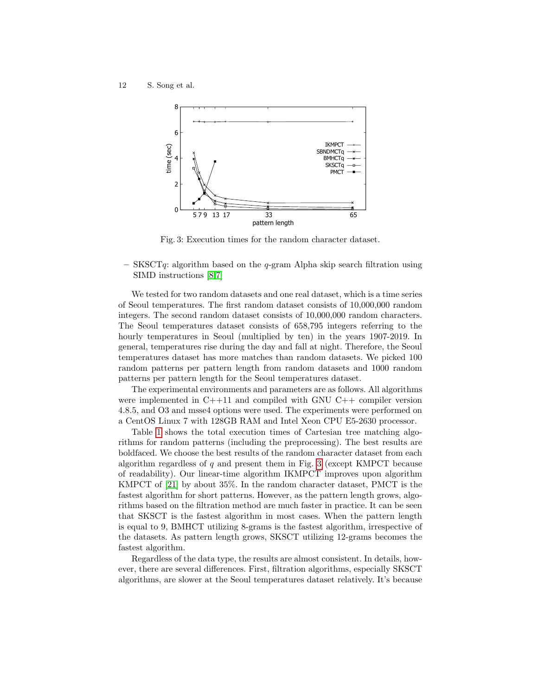<span id="page-11-0"></span>12 S. Song et al.



Fig. 3: Execution times for the random character dataset.

– SKSCTq: algorithm based on the q-gram Alpha skip search filtration using SIMD instructions [\[8,](#page-12-12)[7\]](#page-12-11)

We tested for two random datasets and one real dataset, which is a time series of Seoul temperatures. The first random dataset consists of 10,000,000 random integers. The second random dataset consists of 10,000,000 random characters. The Seoul temperatures dataset consists of 658,795 integers referring to the hourly temperatures in Seoul (multiplied by ten) in the years 1907-2019. In general, temperatures rise during the day and fall at night. Therefore, the Seoul temperatures dataset has more matches than random datasets. We picked 100 random patterns per pattern length from random datasets and 1000 random patterns per pattern length for the Seoul temperatures dataset.

The experimental environments and parameters are as follows. All algorithms were implemented in C++11 and compiled with GNU C++ compiler version 4.8.5, and O3 and msse4 options were used. The experiments were performed on a CentOS Linux 7 with 128GB RAM and Intel Xeon CPU E5-2630 processor.

Table [1](#page-10-0) shows the total execution times of Cartesian tree matching algorithms for random patterns (including the preprocessing). The best results are boldfaced. We choose the best results of the random character dataset from each algorithm regardless of  $q$  and present them in Fig. [3](#page-11-0) (except KMPCT because of readability). Our linear-time algorithm IKMPCT improves upon algorithm KMPCT of [\[21\]](#page-13-3) by about 35%. In the random character dataset, PMCT is the fastest algorithm for short patterns. However, as the pattern length grows, algorithms based on the filtration method are much faster in practice. It can be seen that SKSCT is the fastest algorithm in most cases. When the pattern length is equal to 9, BMHCT utilizing 8-grams is the fastest algorithm, irrespective of the datasets. As pattern length grows, SKSCT utilizing 12-grams becomes the fastest algorithm.

Regardless of the data type, the results are almost consistent. In details, however, there are several differences. First, filtration algorithms, especially SKSCT algorithms, are slower at the Seoul temperatures dataset relatively. It's because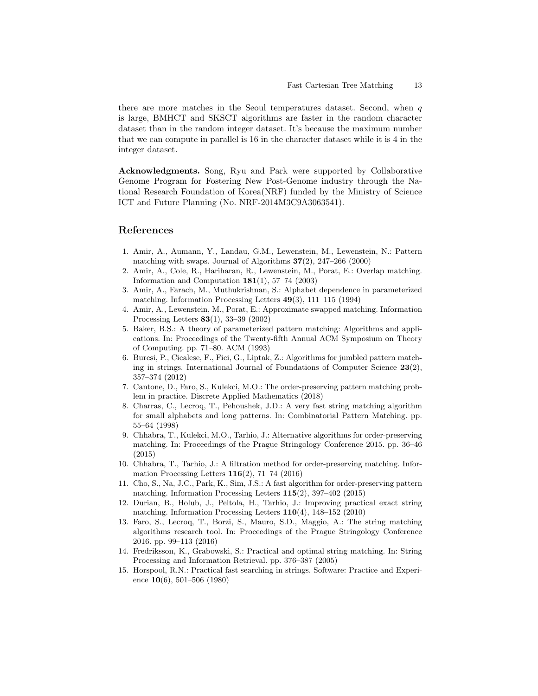there are more matches in the Seoul temperatures dataset. Second, when  $q$ is large, BMHCT and SKSCT algorithms are faster in the random character dataset than in the random integer dataset. It's because the maximum number that we can compute in parallel is 16 in the character dataset while it is 4 in the integer dataset.

Acknowledgments. Song, Ryu and Park were supported by Collaborative Genome Program for Fostering New Post-Genome industry through the National Research Foundation of Korea(NRF) funded by the Ministry of Science ICT and Future Planning (No. NRF-2014M3C9A3063541).

## References

- <span id="page-12-2"></span>1. Amir, A., Aumann, Y., Landau, G.M., Lewenstein, M., Lewenstein, N.: Pattern matching with swaps. Journal of Algorithms  $37(2)$ ,  $247-266$  (2000)
- <span id="page-12-4"></span>2. Amir, A., Cole, R., Hariharan, R., Lewenstein, M., Porat, E.: Overlap matching. Information and Computation  $181(1)$ , 57–74 (2003)
- <span id="page-12-0"></span>3. Amir, A., Farach, M., Muthukrishnan, S.: Alphabet dependence in parameterized matching. Information Processing Letters 49(3), 111–115 (1994)
- <span id="page-12-3"></span>4. Amir, A., Lewenstein, M., Porat, E.: Approximate swapped matching. Information Processing Letters 83(1), 33–39 (2002)
- <span id="page-12-1"></span>5. Baker, B.S.: A theory of parameterized pattern matching: Algorithms and applications. In: Proceedings of the Twenty-fifth Annual ACM Symposium on Theory of Computing. pp. 71–80. ACM (1993)
- <span id="page-12-5"></span>6. Burcsi, P., Cicalese, F., Fici, G., Liptak, Z.: Algorithms for jumbled pattern matching in strings. International Journal of Foundations of Computer Science  $23(2)$ , 357–374 (2012)
- <span id="page-12-11"></span>7. Cantone, D., Faro, S., Kulekci, M.O.: The order-preserving pattern matching problem in practice. Discrete Applied Mathematics (2018)
- <span id="page-12-12"></span>8. Charras, C., Lecroq, T., Pehoushek, J.D.: A very fast string matching algorithm for small alphabets and long patterns. In: Combinatorial Pattern Matching. pp. 55–64 (1998)
- <span id="page-12-10"></span>9. Chhabra, T., Kulekci, M.O., Tarhio, J.: Alternative algorithms for order-preserving matching. In: Proceedings of the Prague Stringology Conference 2015. pp. 36–46 (2015)
- <span id="page-12-9"></span>10. Chhabra, T., Tarhio, J.: A filtration method for order-preserving matching. Information Processing Letters 116(2), 71–74 (2016)
- <span id="page-12-8"></span>11. Cho, S., Na, J.C., Park, K., Sim, J.S.: A fast algorithm for order-preserving pattern matching. Information Processing Letters 115(2), 397–402 (2015)
- <span id="page-12-7"></span>12. Durian, B., Holub, J., Peltola, H., Tarhio, J.: Improving practical exact string matching. Information Processing Letters 110(4), 148–152 (2010)
- <span id="page-12-14"></span>13. Faro, S., Lecroq, T., Borzi, S., Mauro, S.D., Maggio, A.: The string matching algorithms research tool. In: Proceedings of the Prague Stringology Conference 2016. pp. 99–113 (2016)
- <span id="page-12-6"></span>14. Fredriksson, K., Grabowski, S.: Practical and optimal string matching. In: String Processing and Information Retrieval. pp. 376–387 (2005)
- <span id="page-12-13"></span>15. Horspool, R.N.: Practical fast searching in strings. Software: Practice and Experience  $10(6)$ , 501–506 (1980)